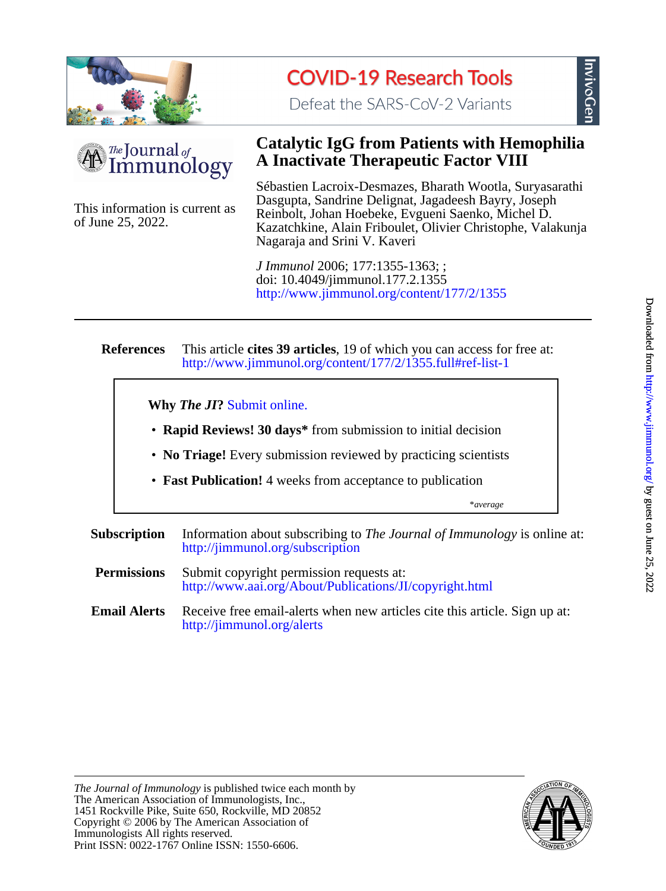

# **COVID-19 Research Tools**

Defeat the SARS-CoV-2 Variants



of June 25, 2022. This information is current as

### **A Inactivate Therapeutic Factor VIII Catalytic IgG from Patients with Hemophilia**

Nagaraja and Srini V. Kaveri Kazatchkine, Alain Friboulet, Olivier Christophe, Valakunja Reinbolt, Johan Hoebeke, Evgueni Saenko, Michel D. Dasgupta, Sandrine Delignat, Jagadeesh Bayry, Joseph Sébastien Lacroix-Desmazes, Bharath Wootla, Suryasarathi

<http://www.jimmunol.org/content/177/2/1355> doi: 10.4049/jimmunol.177.2.1355 *J Immunol* 2006; 177:1355-1363; ;

#### **References** <http://www.jimmunol.org/content/177/2/1355.full#ref-list-1> This article **cites 39 articles**, 19 of which you can access for free at:

**Why** *The JI***?** [Submit online.](https://ji.msubmit.net)

- **Rapid Reviews! 30 days\*** from submission to initial decision
- **No Triage!** Every submission reviewed by practicing scientists
- **Fast Publication!** 4 weeks from acceptance to publication

\**average*

**Subscription** <http://jimmunol.org/subscription> Information about subscribing to *The Journal of Immunology* is online at:

- **Permissions** <http://www.aai.org/About/Publications/JI/copyright.html> Submit copyright permission requests at:
- **Email Alerts** <http://jimmunol.org/alerts> Receive free email-alerts when new articles cite this article. Sign up at:



nvivoGer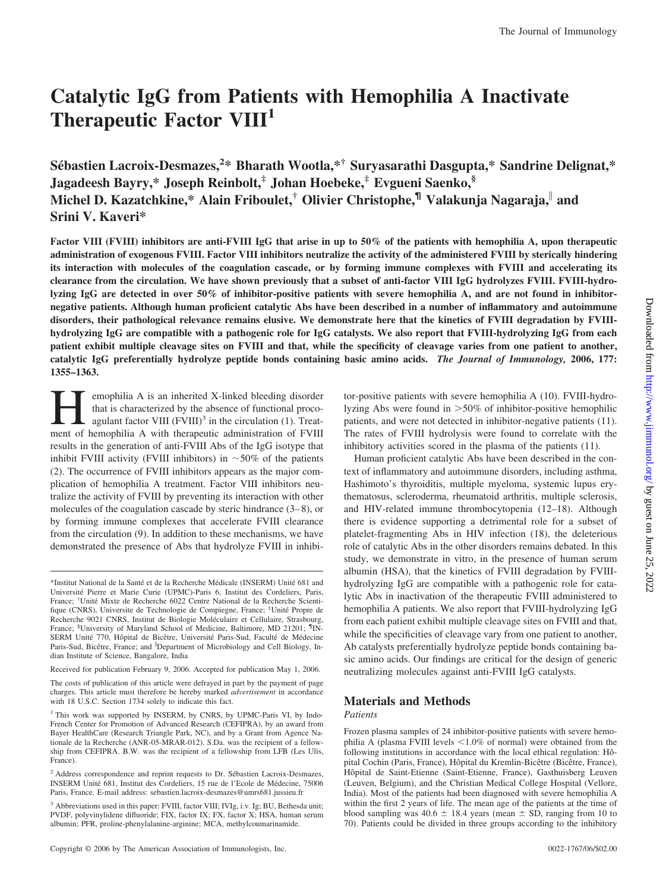## **Catalytic IgG from Patients with Hemophilia A Inactivate Therapeutic Factor VIII1**

**Se´bastien Lacroix-Desmazes,<sup>2</sup> \* Bharath Wootla,\*† Suryasarathi Dasgupta,\* Sandrine Delignat,\* Jagadeesh Bayry,\* Joseph Reinbolt,‡ Johan Hoebeke,‡ Evgueni Saenko,§ Michel D. Kazatchkine,\* Alain Friboulet,† Olivier Christophe,¶ Valakunja Nagaraja, and Srini V. Kaveri\***

**Factor VIII (FVIII) inhibitors are anti-FVIII IgG that arise in up to 50% of the patients with hemophilia A, upon therapeutic administration of exogenous FVIII. Factor VIII inhibitors neutralize the activity of the administered FVIII by sterically hindering its interaction with molecules of the coagulation cascade, or by forming immune complexes with FVIII and accelerating its clearance from the circulation. We have shown previously that a subset of anti-factor VIII IgG hydrolyzes FVIII. FVIII-hydrolyzing IgG are detected in over 50% of inhibitor-positive patients with severe hemophilia A, and are not found in inhibitornegative patients. Although human proficient catalytic Abs have been described in a number of inflammatory and autoimmune disorders, their pathological relevance remains elusive. We demonstrate here that the kinetics of FVIII degradation by FVIIIhydrolyzing IgG are compatible with a pathogenic role for IgG catalysts. We also report that FVIII-hydrolyzing IgG from each patient exhibit multiple cleavage sites on FVIII and that, while the specificity of cleavage varies from one patient to another, catalytic IgG preferentially hydrolyze peptide bonds containing basic amino acids.** *The Journal of Immunology,* **2006, 177: 1355–1363.**

emophilia A is an inherited X-linked bleeding disorder that is characterized by the absence of functional procoagulant factor VIII  $(FVIII)^3$  in the circulation (1). Treatment of hemophilia A with therapeutic administration of FVIII results in the generation of anti-FVIII Abs of the IgG isotype that inhibit FVIII activity (FVIII inhibitors) in  $~50\%$  of the patients (2). The occurrence of FVIII inhibitors appears as the major complication of hemophilia A treatment. Factor VIII inhibitors neutralize the activity of FVIII by preventing its interaction with other molecules of the coagulation cascade by steric hindrance (3–8), or by forming immune complexes that accelerate FVIII clearance from the circulation (9). In addition to these mechanisms, we have demonstrated the presence of Abs that hydrolyze FVIII in inhibi-

Received for publication February 9, 2006. Accepted for publication May 1, 2006.

The costs of publication of this article were defrayed in part by the payment of page charges. This article must therefore be hereby marked *advertisement* in accordance with 18 U.S.C. Section 1734 solely to indicate this fact.

tor-positive patients with severe hemophilia A (10). FVIII-hydrolyzing Abs were found in >50% of inhibitor-positive hemophilic patients, and were not detected in inhibitor-negative patients (11). The rates of FVIII hydrolysis were found to correlate with the inhibitory activities scored in the plasma of the patients (11).

Human proficient catalytic Abs have been described in the context of inflammatory and autoimmune disorders, including asthma, Hashimoto's thyroiditis, multiple myeloma, systemic lupus erythematosus, scleroderma, rheumatoid arthritis, multiple sclerosis, and HIV-related immune thrombocytopenia (12–18). Although there is evidence supporting a detrimental role for a subset of platelet-fragmenting Abs in HIV infection (18), the deleterious role of catalytic Abs in the other disorders remains debated. In this study, we demonstrate in vitro, in the presence of human serum albumin (HSA), that the kinetics of FVIII degradation by FVIIIhydrolyzing IgG are compatible with a pathogenic role for catalytic Abs in inactivation of the therapeutic FVIII administered to hemophilia A patients. We also report that FVIII-hydrolyzing IgG from each patient exhibit multiple cleavage sites on FVIII and that, while the specificities of cleavage vary from one patient to another, Ab catalysts preferentially hydrolyze peptide bonds containing basic amino acids. Our findings are critical for the design of generic neutralizing molecules against anti-FVIII IgG catalysts.

### **Materials and Methods**

#### *Patients*

Frozen plasma samples of 24 inhibitor-positive patients with severe hemophilia A (plasma FVIII levels  $\leq 1.0\%$  of normal) were obtained from the following institutions in accordance with the local ethical regulation: Hôpital Cochin (Paris, France), Hôpital du Kremlin-Bicêtre (Bicêtre, France), Hôpital de Saint-Etienne (Saint-Etienne, France), Gasthuisberg Leuven (Leuven, Belgium), and the Christian Medical College Hospital (Vellore, India). Most of the patients had been diagnosed with severe hemophilia A within the first 2 years of life. The mean age of the patients at the time of blood sampling was  $40.6 \pm 18.4$  years (mean  $\pm$  SD, ranging from 10 to 70). Patients could be divided in three groups according to the inhibitory

<sup>\*</sup>Institut National de la Santé et de la Recherche Médicale (INSERM) Unité 681 and Université Pierre et Marie Curie (UPMC)-Paris 6, Institut des Cordeliers, Paris, France; <sup>†</sup>Unité Mixte de Recherche 6022 Centre National de la Recherche Scientifique (CNRS), Universite de Technologie de Compiegne, France; <sup>‡</sup>Unité Propre de Recherche 9021 CNRS, Institut de Biologie Moléculaire et Cellulaire, Strasbourg, France; <sup>§</sup>University of Maryland School of Medicine, Baltimore, MD 21201; <sup>¶</sup>IN-SERM Unité 770, Hôpital de Bicêtre, Université Paris-Sud, Faculté de Médecine Paris-Sud, Bicêtre, France; and <sup>|</sup>Department of Microbiology and Cell Biology, Indian Institute of Science, Bangalore, India

<sup>&</sup>lt;sup>1</sup> This work was supported by INSERM, by CNRS, by UPMC-Paris VI, by Indo-French Center for Promotion of Advanced Research (CEFIPRA), by an award from Bayer HealthCare (Research Triangle Park, NC), and by a Grant from Agence Nationale de la Recherche (ANR-05-MRAR-012). S.Da. was the recipient of a fellowship from CEFIPRA. B.W. was the recipient of a fellowship from LFB (Les Ulis, France).

<sup>&</sup>lt;sup>2</sup> Address correspondence and reprint requests to Dr. Sébastien Lacroix-Desmazes, INSERM Unité 681, Institut des Cordeliers, 15 rue de l'Ecole de Médecine, 75006 Paris, France. E-mail address: sebastien.lacroix-desmazes@umrs681.jussieu.fr

<sup>&</sup>lt;sup>3</sup> Abbreviations used in this paper: FVIII, factor VIII; IVIg, i.v. Ig; BU, Bethesda unit; PVDF, polyvinylidene difluoride; FIX, factor IX; FX, factor X; HSA, human serum albumin; PFR, proline-phenylalanine-arginine; MCA, methylcoumarinamide.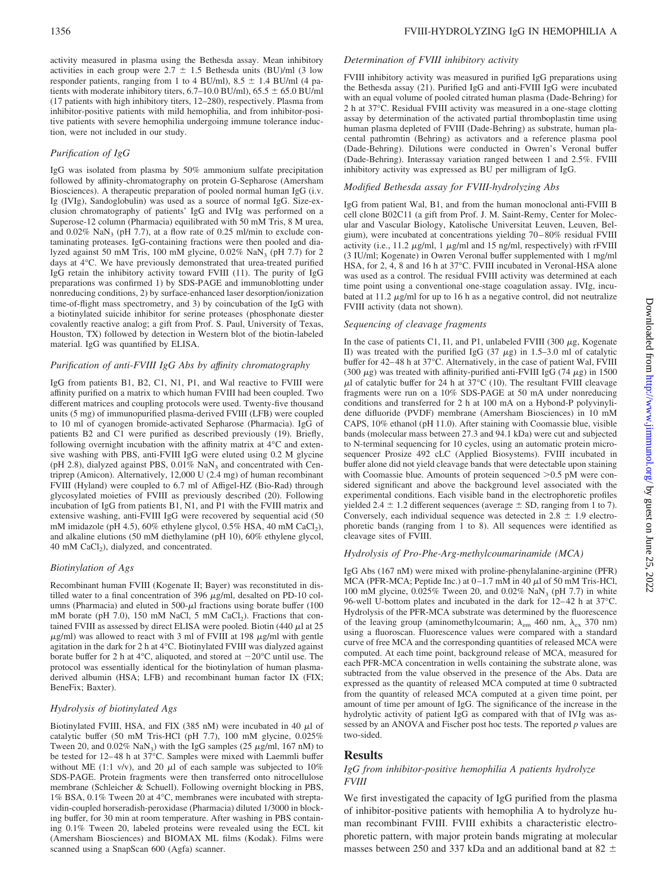activity measured in plasma using the Bethesda assay. Mean inhibitory activities in each group were  $2.7 \pm 1.5$  Bethesda units (BU)/ml (3 low responder patients, ranging from 1 to 4 BU/ml),  $8.5 \pm 1.4$  BU/ml (4 patients with moderate inhibitory titers,  $6.7-10.0$  BU/ml),  $65.5 \pm 65.0$  BU/ml (17 patients with high inhibitory titers, 12–280), respectively. Plasma from inhibitor-positive patients with mild hemophilia, and from inhibitor-positive patients with severe hemophilia undergoing immune tolerance induction, were not included in our study.

#### *Purification of IgG*

IgG was isolated from plasma by 50% ammonium sulfate precipitation followed by affinity-chromatography on protein G-Sepharose (Amersham Biosciences). A therapeutic preparation of pooled normal human IgG (i.v. Ig (IVIg), Sandoglobulin) was used as a source of normal IgG. Size-exclusion chromatography of patients' IgG and IVIg was performed on a Superose-12 column (Pharmacia) equilibrated with 50 mM Tris, 8 M urea, and  $0.02\%$  NaN<sub>3</sub> (pH 7.7), at a flow rate of 0.25 ml/min to exclude contaminating proteases. IgG-containing fractions were then pooled and dialyzed against 50 mM Tris, 100 mM glycine,  $0.02\%$  NaN<sub>3</sub> (pH 7.7) for 2 days at 4°C. We have previously demonstrated that urea-treated purified IgG retain the inhibitory activity toward FVIII (11). The purity of IgG preparations was confirmed 1) by SDS-PAGE and immunoblotting under nonreducing conditions, 2) by surface-enhanced laser desorption/ionization time-of-flight mass spectrometry, and 3) by coincubation of the IgG with a biotinylated suicide inhibitor for serine proteases (phosphonate diester covalently reactive analog; a gift from Prof. S. Paul, University of Texas, Houston, TX) followed by detection in Western blot of the biotin-labeled material. IgG was quantified by ELISA.

#### *Purification of anti-FVIII IgG Abs by affinity chromatography*

IgG from patients B1, B2, C1, N1, P1, and Wal reactive to FVIII were affinity purified on a matrix to which human FVIII had been coupled. Two different matrices and coupling protocols were used. Twenty-five thousand units (5 mg) of immunopurified plasma-derived FVIII (LFB) were coupled to 10 ml of cyanogen bromide-activated Sepharose (Pharmacia). IgG of patients B2 and C1 were purified as described previously (19). Briefly, following overnight incubation with the affinity matrix at 4°C and extensive washing with PBS, anti-FVIII IgG were eluted using 0.2 M glycine (pH 2.8), dialyzed against PBS,  $0.01\%$  NaN<sub>3</sub> and concentrated with Centriprep (Amicon). Alternatively, 12,000 U (2.4 mg) of human recombinant FVIII (Hyland) were coupled to 6.7 ml of Affigel-HZ (Bio-Rad) through glycosylated moieties of FVIII as previously described (20). Following incubation of IgG from patients B1, N1, and P1 with the FVIII matrix and extensive washing, anti-FVIII IgG were recovered by sequential acid (50 mM imidazole (pH 4.5),  $60\%$  ethylene glycol,  $0.5\%$  HSA,  $40$  mM CaCl<sub>2</sub>), and alkaline elutions (50 mM diethylamine (pH 10), 60% ethylene glycol, 40 mM CaCl<sub>2</sub>), dialyzed, and concentrated.

#### *Biotinylation of Ags*

Recombinant human FVIII (Kogenate II; Bayer) was reconstituted in distilled water to a final concentration of 396  $\mu$ g/ml, desalted on PD-10 columns (Pharmacia) and eluted in 500- $\mu$ l fractions using borate buffer (100 mM borate (pH 7.0), 150 mM NaCl, 5 mM CaCl<sub>2</sub>). Fractions that contained FVIII as assessed by direct ELISA were pooled. Biotin (440  $\mu$ l at 25  $\mu$ g/ml) was allowed to react with 3 ml of FVIII at 198  $\mu$ g/ml with gentle agitation in the dark for 2 h at 4°C. Biotinylated FVIII was dialyzed against borate buffer for 2 h at 4°C, aliquoted, and stored at  $-20$ °C until use. The protocol was essentially identical for the biotinylation of human plasmaderived albumin (HSA; LFB) and recombinant human factor IX (FIX; BeneFix; Baxter).

#### *Hydrolysis of biotinylated Ags*

Biotinylated FVIII, HSA, and FIX (385 nM) were incubated in 40  $\mu$ l of catalytic buffer (50 mM Tris-HCl (pH 7.7), 100 mM glycine, 0.025% Tween 20, and  $0.02\%$  NaN<sub>3</sub>) with the IgG samples (25  $\mu$ g/ml, 167 nM) to be tested for 12–48 h at 37°C. Samples were mixed with Laemmli buffer without ME (1:1 v/v), and 20  $\mu$ l of each sample was subjected to 10% SDS-PAGE. Protein fragments were then transferred onto nitrocellulose membrane (Schleicher & Schuell). Following overnight blocking in PBS, 1% BSA, 0.1% Tween 20 at 4°C, membranes were incubated with streptavidin-coupled horseradish-peroxidase (Pharmacia) diluted 1/3000 in blocking buffer, for 30 min at room temperature. After washing in PBS containing 0.1% Tween 20, labeled proteins were revealed using the ECL kit (Amersham Biosciences) and BIOMAX ML films (Kodak). Films were scanned using a SnapScan 600 (Agfa) scanner.

#### *Determination of FVIII inhibitory activity*

FVIII inhibitory activity was measured in purified IgG preparations using the Bethesda assay (21). Purified IgG and anti-FVIII IgG were incubated with an equal volume of pooled citrated human plasma (Dade-Behring) for 2 h at 37°C. Residual FVIII activity was measured in a one-stage clotting assay by determination of the activated partial thromboplastin time using human plasma depleted of FVIII (Dade-Behring) as substrate, human placental pathromtin (Behring) as activators and a reference plasma pool (Dade-Behring). Dilutions were conducted in Owren's Veronal buffer (Dade-Behring). Interassay variation ranged between 1 and 2.5%. FVIII inhibitory activity was expressed as BU per milligram of IgG.

#### *Modified Bethesda assay for FVIII-hydrolyzing Abs*

IgG from patient Wal, B1, and from the human monoclonal anti-FVIII B cell clone B02C11 (a gift from Prof. J. M. Saint-Remy, Center for Molecular and Vascular Biology, Katolische Universitat Leuven, Leuven, Belgium), were incubated at concentrations yielding 70–80% residual FVIII activity (i.e., 11.2  $\mu$ g/ml, 1  $\mu$ g/ml and 15 ng/ml, respectively) with rFVIII (3 IU/ml; Kogenate) in Owren Veronal buffer supplemented with 1 mg/ml HSA, for 2, 4, 8 and 16 h at 37°C. FVIII incubated in Veronal-HSA alone was used as a control. The residual FVIII activity was determined at each time point using a conventional one-stage coagulation assay. IVIg, incubated at 11.2  $\mu$ g/ml for up to 16 h as a negative control, did not neutralize FVIII activity (data not shown).

#### *Sequencing of cleavage fragments*

In the case of patients C1, I1, and P1, unlabeled FVIII (300  $\mu$ g, Kogenate II) was treated with the purified IgG  $(37 \mu g)$  in 1.5–3.0 ml of catalytic buffer for 42–48 h at 37°C. Alternatively, in the case of patient Wal, FVIII (300  $\mu$ g) was treated with affinity-purified anti-FVIII IgG (74  $\mu$ g) in 1500  $\mu$ l of catalytic buffer for 24 h at 37°C (10). The resultant FVIII cleavage fragments were run on a 10% SDS-PAGE at 50 mA under nonreducing conditions and transferred for 2 h at 100 mA on a Hybond-P polyvinylidene difluoride (PVDF) membrane (Amersham Biosciences) in 10 mM CAPS, 10% ethanol (pH 11.0). After staining with Coomassie blue, visible bands (molecular mass between 27.3 and 94.1 kDa) were cut and subjected to N-terminal sequencing for 10 cycles, using an automatic protein microsequencer Prosize 492 cLC (Applied Biosystems). FVIII incubated in buffer alone did not yield cleavage bands that were detectable upon staining with Coomassie blue. Amounts of protein sequenced  $>0.5$  pM were considered significant and above the background level associated with the experimental conditions. Each visible band in the electrophoretic profiles yielded 2.4  $\pm$  1.2 different sequences (average  $\pm$  SD, ranging from 1 to 7). Conversely, each individual sequence was detected in  $2.8 \pm 1.9$  electrophoretic bands (ranging from 1 to 8). All sequences were identified as cleavage sites of FVIII.

#### *Hydrolysis of Pro-Phe-Arg-methylcoumarinamide (MCA)*

IgG Abs (167 nM) were mixed with proline-phenylalanine-arginine (PFR) MCA (PFR-MCA; Peptide Inc.) at  $0-1.7$  mM in  $40 \mu l$  of 50 mM Tris-HCl, 100 mM glycine,  $0.025\%$  Tween 20, and  $0.02\%$  NaN<sub>3</sub> (pH 7.7) in white 96-well U-bottom plates and incubated in the dark for 12–42 h at 37°C. Hydrolysis of the PFR-MCA substrate was determined by the fluorescence of the leaving group (aminomethylcoumarin;  $\lambda_{em}$  460 nm,  $\lambda_{ex}$  370 nm) using a fluoroscan. Fluorescence values were compared with a standard curve of free MCA and the corresponding quantities of released MCA were computed. At each time point, background release of MCA, measured for each PFR-MCA concentration in wells containing the substrate alone, was subtracted from the value observed in the presence of the Abs. Data are expressed as the quantity of released MCA computed at time 0 subtracted from the quantity of released MCA computed at a given time point, per amount of time per amount of IgG. The significance of the increase in the hydrolytic activity of patient IgG as compared with that of IVIg was assessed by an ANOVA and Fischer post hoc tests. The reported *p* values are two-sided.

#### **Results**

#### *IgG from inhibitor-positive hemophilia A patients hydrolyze FVIII*

We first investigated the capacity of IgG purified from the plasma of inhibitor-positive patients with hemophilia A to hydrolyze human recombinant FVIII. FVIII exhibits a characteristic electrophoretic pattern, with major protein bands migrating at molecular masses between 250 and 337 kDa and an additional band at 82  $\pm$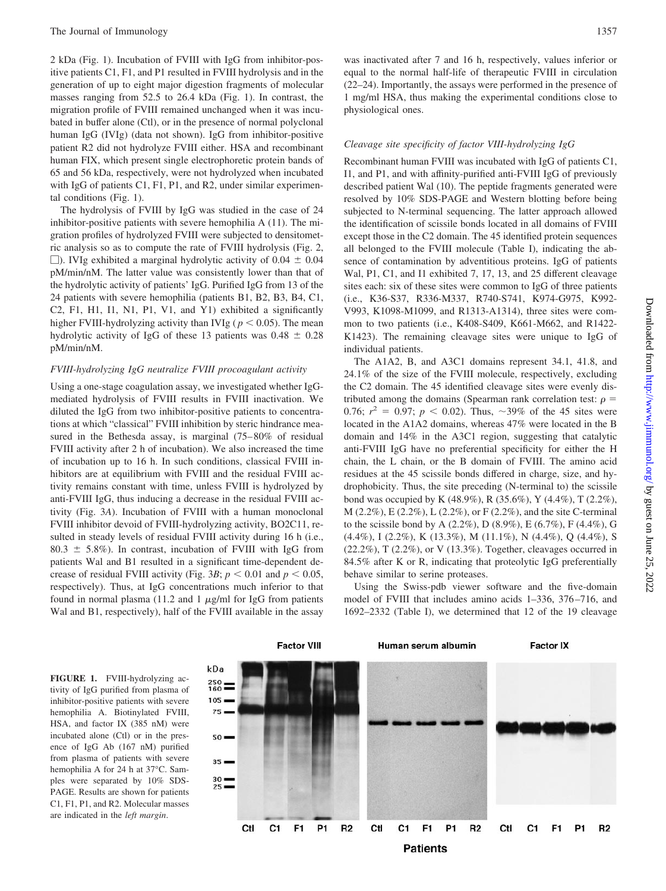2 kDa (Fig. 1). Incubation of FVIII with IgG from inhibitor-positive patients C1, F1, and P1 resulted in FVIII hydrolysis and in the generation of up to eight major digestion fragments of molecular masses ranging from 52.5 to 26.4 kDa (Fig. 1). In contrast, the migration profile of FVIII remained unchanged when it was incubated in buffer alone (Ctl), or in the presence of normal polyclonal human IgG (IVIg) (data not shown). IgG from inhibitor-positive patient R2 did not hydrolyze FVIII either. HSA and recombinant human FIX, which present single electrophoretic protein bands of 65 and 56 kDa, respectively, were not hydrolyzed when incubated with IgG of patients C1, F1, P1, and R2, under similar experimental conditions (Fig. 1).

The hydrolysis of FVIII by IgG was studied in the case of 24 inhibitor-positive patients with severe hemophilia A (11). The migration profiles of hydrolyzed FVIII were subjected to densitometric analysis so as to compute the rate of FVIII hydrolysis (Fig. 2,  $\Box$ ). IVIg exhibited a marginal hydrolytic activity of 0.04  $\pm$  0.04 pM/min/nM. The latter value was consistently lower than that of the hydrolytic activity of patients' IgG. Purified IgG from 13 of the 24 patients with severe hemophilia (patients B1, B2, B3, B4, C1, C2, F1, H1, I1, N1, P1, V1, and Y1) exhibited a significantly higher FVIII-hydrolyzing activity than IVIg ( $p < 0.05$ ). The mean hydrolytic activity of IgG of these 13 patients was  $0.48 \pm 0.28$ pM/min/nM.

#### *FVIII-hydrolyzing IgG neutralize FVIII procoagulant activity*

Using a one-stage coagulation assay, we investigated whether IgGmediated hydrolysis of FVIII results in FVIII inactivation. We diluted the IgG from two inhibitor-positive patients to concentrations at which "classical" FVIII inhibition by steric hindrance measured in the Bethesda assay, is marginal (75–80% of residual FVIII activity after 2 h of incubation). We also increased the time of incubation up to 16 h. In such conditions, classical FVIII inhibitors are at equilibrium with FVIII and the residual FVIII activity remains constant with time, unless FVIII is hydrolyzed by anti-FVIII IgG, thus inducing a decrease in the residual FVIII activity (Fig. 3*A*). Incubation of FVIII with a human monoclonal FVIII inhibitor devoid of FVIII-hydrolyzing activity, BO2C11, resulted in steady levels of residual FVIII activity during 16 h (i.e.,  $80.3 \pm 5.8\%$ ). In contrast, incubation of FVIII with IgG from patients Wal and B1 resulted in a significant time-dependent decrease of residual FVIII activity (Fig. 3*B*;  $p < 0.01$  and  $p < 0.05$ , respectively). Thus, at IgG concentrations much inferior to that found in normal plasma (11.2 and 1  $\mu$ g/ml for IgG from patients Wal and B1, respectively), half of the FVIII available in the assay

was inactivated after 7 and 16 h, respectively, values inferior or equal to the normal half-life of therapeutic FVIII in circulation (22–24). Importantly, the assays were performed in the presence of 1 mg/ml HSA, thus making the experimental conditions close to physiological ones.

#### *Cleavage site specificity of factor VIII-hydrolyzing IgG*

Recombinant human FVIII was incubated with IgG of patients C1, I1, and P1, and with affinity-purified anti-FVIII IgG of previously described patient Wal (10). The peptide fragments generated were resolved by 10% SDS-PAGE and Western blotting before being subjected to N-terminal sequencing. The latter approach allowed the identification of scissile bonds located in all domains of FVIII except those in the C2 domain. The 45 identified protein sequences all belonged to the FVIII molecule (Table I), indicating the absence of contamination by adventitious proteins. IgG of patients Wal, P1, C1, and I1 exhibited 7, 17, 13, and 25 different cleavage sites each: six of these sites were common to IgG of three patients (i.e., K36-S37, R336-M337, R740-S741, K974-G975, K992- V993, K1098-M1099, and R1313-A1314), three sites were common to two patients (i.e., K408-S409, K661-M662, and R1422- K1423). The remaining cleavage sites were unique to IgG of individual patients.

The A1A2, B, and A3C1 domains represent 34.1, 41.8, and 24.1% of the size of the FVIII molecule, respectively, excluding the C2 domain. The 45 identified cleavage sites were evenly distributed among the domains (Spearman rank correlation test:  $\rho =$ 0.76;  $r^2 = 0.97$ ;  $p < 0.02$ ). Thus,  $\sim 39\%$  of the 45 sites were located in the A1A2 domains, whereas 47% were located in the B domain and 14% in the A3C1 region, suggesting that catalytic anti-FVIII IgG have no preferential specificity for either the H chain, the L chain, or the B domain of FVIII. The amino acid residues at the 45 scissile bonds differed in charge, size, and hydrophobicity. Thus, the site preceding (N-terminal to) the scissile bond was occupied by K (48.9%), R (35.6%), Y (4.4%), T (2.2%), M (2.2%), E (2.2%), L (2.2%), or F (2.2%), and the site C-terminal to the scissile bond by A (2.2%), D (8.9%), E (6.7%), F (4.4%), G (4.4%), I (2.2%), K (13.3%), M (11.1%), N (4.4%), Q (4.4%), S (22.2%), T (2.2%), or V (13.3%). Together, cleavages occurred in 84.5% after K or R, indicating that proteolytic IgG preferentially behave similar to serine proteases.

Using the Swiss-pdb viewer software and the five-domain model of FVIII that includes amino acids 1–336, 376–716, and 1692–2332 (Table I), we determined that 12 of the 19 cleavage

**FIGURE 1.** FVIII-hydrolyzing activity of IgG purified from plasma of inhibitor-positive patients with severe hemophilia A. Biotinylated FVIII, HSA, and factor IX (385 nM) were incubated alone (Ctl) or in the presence of IgG Ab (167 nM) purified from plasma of patients with severe hemophilia A for 24 h at 37°C. Samples were separated by 10% SDS-PAGE. Results are shown for patients C1, F1, P1, and R2. Molecular masses are indicated in the *left margin*.

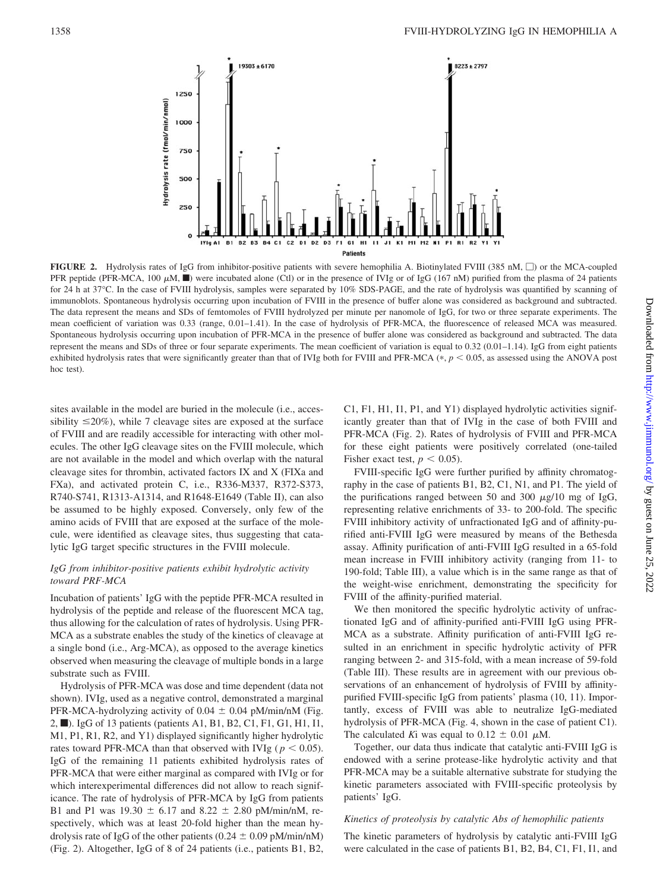

**FIGURE 2.** Hydrolysis rates of IgG from inhibitor-positive patients with severe hemophilia A. Biotinylated FVIII (385 nM,  $\Box$ ) or the MCA-coupled PFR peptide (PFR-MCA, 100  $\mu$ M,  $\blacksquare$ ) were incubated alone (Ctl) or in the presence of IVIg or of IgG (167 nM) purified from the plasma of 24 patients for 24 h at 37°C. In the case of FVIII hydrolysis, samples were separated by 10% SDS-PAGE, and the rate of hydrolysis was quantified by scanning of immunoblots. Spontaneous hydrolysis occurring upon incubation of FVIII in the presence of buffer alone was considered as background and subtracted. The data represent the means and SDs of femtomoles of FVIII hydrolyzed per minute per nanomole of IgG, for two or three separate experiments. The mean coefficient of variation was 0.33 (range, 0.01–1.41). In the case of hydrolysis of PFR-MCA, the fluorescence of released MCA was measured. Spontaneous hydrolysis occurring upon incubation of PFR-MCA in the presence of buffer alone was considered as background and subtracted. The data represent the means and SDs of three or four separate experiments. The mean coefficient of variation is equal to 0.32 (0.01–1.14). IgG from eight patients exhibited hydrolysis rates that were significantly greater than that of IVIg both for FVIII and PFR-MCA  $(*, p < 0.05$ , as assessed using the ANOVA post hoc test).

sites available in the model are buried in the molecule (i.e., accessibility  $\leq$ 20%), while 7 cleavage sites are exposed at the surface of FVIII and are readily accessible for interacting with other molecules. The other IgG cleavage sites on the FVIII molecule, which are not available in the model and which overlap with the natural cleavage sites for thrombin, activated factors IX and X (FIXa and FXa), and activated protein C, i.e., R336-M337, R372-S373, R740-S741, R1313-A1314, and R1648-E1649 (Table II), can also be assumed to be highly exposed. Conversely, only few of the amino acids of FVIII that are exposed at the surface of the molecule, were identified as cleavage sites, thus suggesting that catalytic IgG target specific structures in the FVIII molecule.

#### *IgG from inhibitor-positive patients exhibit hydrolytic activity toward PRF-MCA*

Incubation of patients' IgG with the peptide PFR-MCA resulted in hydrolysis of the peptide and release of the fluorescent MCA tag, thus allowing for the calculation of rates of hydrolysis. Using PFR-MCA as a substrate enables the study of the kinetics of cleavage at a single bond (i.e., Arg-MCA), as opposed to the average kinetics observed when measuring the cleavage of multiple bonds in a large substrate such as FVIII.

Hydrolysis of PFR-MCA was dose and time dependent (data not shown). IVIg, used as a negative control, demonstrated a marginal PFR-MCA-hydrolyzing activity of  $0.04 \pm 0.04$  pM/min/nM (Fig. 2, ■). IgG of 13 patients (patients A1, B1, B2, C1, F1, G1, H1, I1, M1, P1, R1, R2, and Y1) displayed significantly higher hydrolytic rates toward PFR-MCA than that observed with IVIg ( $p < 0.05$ ). IgG of the remaining 11 patients exhibited hydrolysis rates of PFR-MCA that were either marginal as compared with IVIg or for which interexperimental differences did not allow to reach significance. The rate of hydrolysis of PFR-MCA by IgG from patients B1 and P1 was  $19.30 \pm 6.17$  and  $8.22 \pm 2.80$  pM/min/nM, respectively, which was at least 20-fold higher than the mean hydrolysis rate of IgG of the other patients (0.24  $\pm$  0.09 pM/min/nM) (Fig. 2). Altogether, IgG of 8 of 24 patients (i.e., patients B1, B2,

C1, F1, H1, I1, P1, and Y1) displayed hydrolytic activities significantly greater than that of IVIg in the case of both FVIII and PFR-MCA (Fig. 2). Rates of hydrolysis of FVIII and PFR-MCA for these eight patients were positively correlated (one-tailed Fisher exact test,  $p < 0.05$ ).

FVIII-specific IgG were further purified by affinity chromatography in the case of patients B1, B2, C1, N1, and P1. The yield of the purifications ranged between 50 and 300  $\mu$ g/10 mg of IgG, representing relative enrichments of 33- to 200-fold. The specific FVIII inhibitory activity of unfractionated IgG and of affinity-purified anti-FVIII IgG were measured by means of the Bethesda assay. Affinity purification of anti-FVIII IgG resulted in a 65-fold mean increase in FVIII inhibitory activity (ranging from 11- to 190-fold; Table III), a value which is in the same range as that of the weight-wise enrichment, demonstrating the specificity for FVIII of the affinity-purified material.

We then monitored the specific hydrolytic activity of unfractionated IgG and of affinity-purified anti-FVIII IgG using PFR-MCA as a substrate. Affinity purification of anti-FVIII IgG resulted in an enrichment in specific hydrolytic activity of PFR ranging between 2- and 315-fold, with a mean increase of 59-fold (Table III). These results are in agreement with our previous observations of an enhancement of hydrolysis of FVIII by affinitypurified FVIII-specific IgG from patients' plasma (10, 11). Importantly, excess of FVIII was able to neutralize IgG-mediated hydrolysis of PFR-MCA (Fig. 4, shown in the case of patient C1). The calculated *K*i was equal to  $0.12 \pm 0.01 \mu M$ .

Together, our data thus indicate that catalytic anti-FVIII IgG is endowed with a serine protease-like hydrolytic activity and that PFR-MCA may be a suitable alternative substrate for studying the kinetic parameters associated with FVIII-specific proteolysis by patients' IgG.

#### *Kinetics of proteolysis by catalytic Abs of hemophilic patients*

The kinetic parameters of hydrolysis by catalytic anti-FVIII IgG were calculated in the case of patients B1, B2, B4, C1, F1, I1, and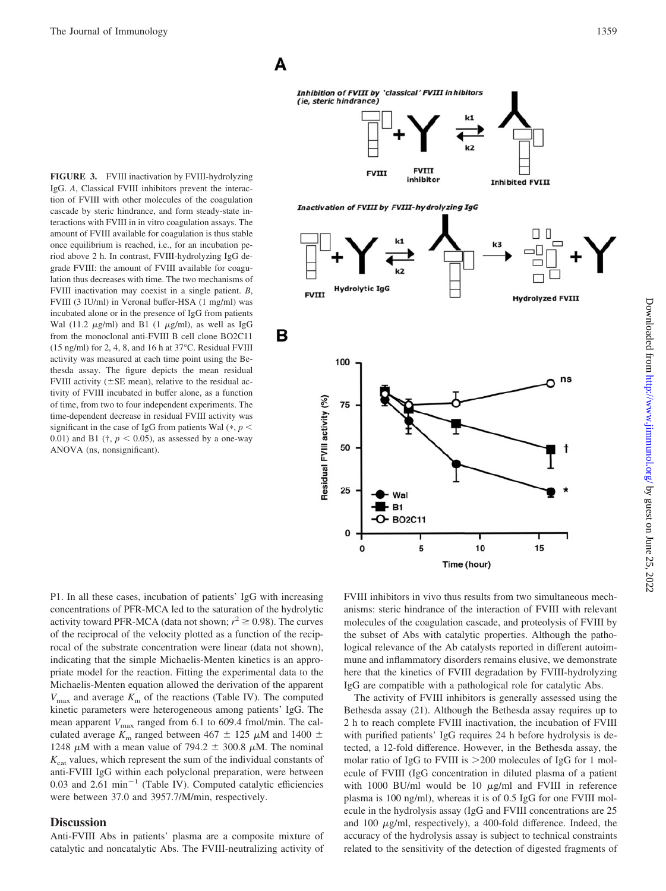A

в

Inhibition of FVIII by 'classical' FVIII inhibitors (ie, steric hindrance)



Inactivation of FVIII by FVIII-hydrolyzing IgG

O 0  $k<sub>3</sub>$ ⊓ **Hydrolytic IgG FVIII Hydrolyzed FVIII** 100 ns Residual FVIII activity (%) 75 50 25 Wal **-** B1 O-BO2C11 0 5 10 15 0 Time (hour)

**FIGURE 3.** FVIII inactivation by FVIII-hydrolyzing IgG. *A*, Classical FVIII inhibitors prevent the interaction of FVIII with other molecules of the coagulation cascade by steric hindrance, and form steady-state interactions with FVIII in in vitro coagulation assays. The amount of FVIII available for coagulation is thus stable once equilibrium is reached, i.e., for an incubation period above 2 h. In contrast, FVIII-hydrolyzing IgG degrade FVIII: the amount of FVIII available for coagulation thus decreases with time. The two mechanisms of FVIII inactivation may coexist in a single patient. *B*, FVIII (3 IU/ml) in Veronal buffer-HSA (1 mg/ml) was incubated alone or in the presence of IgG from patients Wal (11.2  $\mu$ g/ml) and B1 (1  $\mu$ g/ml), as well as IgG from the monoclonal anti-FVIII B cell clone BO2C11 (15 ng/ml) for 2, 4, 8, and 16 h at 37°C. Residual FVIII activity was measured at each time point using the Bethesda assay. The figure depicts the mean residual FVIII activity ( $\pm$ SE mean), relative to the residual activity of FVIII incubated in buffer alone, as a function of time, from two to four independent experiments. The time-dependent decrease in residual FVIII activity was significant in the case of IgG from patients Wal  $(*, p <$ 0.01) and B1 ( $\ddagger$ ,  $p < 0.05$ ), as assessed by a one-way ANOVA (ns, nonsignificant).

P1. In all these cases, incubation of patients' IgG with increasing concentrations of PFR-MCA led to the saturation of the hydrolytic activity toward PFR-MCA (data not shown;  $r^2 \ge 0.98$ ). The curves of the reciprocal of the velocity plotted as a function of the reciprocal of the substrate concentration were linear (data not shown), indicating that the simple Michaelis-Menten kinetics is an appropriate model for the reaction. Fitting the experimental data to the Michaelis-Menten equation allowed the derivation of the apparent  $V_{\text{max}}$  and average  $K_{\text{m}}$  of the reactions (Table IV). The computed kinetic parameters were heterogeneous among patients' IgG. The mean apparent  $V_{\text{max}}$  ranged from 6.1 to 609.4 fmol/min. The calculated average  $K_{\rm m}$  ranged between 467  $\pm$  125  $\mu$ M and 1400  $\pm$ 1248  $\mu$ M with a mean value of 794.2  $\pm$  300.8  $\mu$ M. The nominal  $K<sub>cat</sub>$  values, which represent the sum of the individual constants of anti-FVIII IgG within each polyclonal preparation, were between  $0.03$  and  $2.61$  min<sup>-1</sup> (Table IV). Computed catalytic efficiencies

#### **Discussion**

Anti-FVIII Abs in patients' plasma are a composite mixture of catalytic and noncatalytic Abs. The FVIII-neutralizing activity of

were between 37.0 and 3957.7/M/min, respectively.

FVIII inhibitors in vivo thus results from two simultaneous mechanisms: steric hindrance of the interaction of FVIII with relevant molecules of the coagulation cascade, and proteolysis of FVIII by the subset of Abs with catalytic properties. Although the pathological relevance of the Ab catalysts reported in different autoimmune and inflammatory disorders remains elusive, we demonstrate here that the kinetics of FVIII degradation by FVIII-hydrolyzing IgG are compatible with a pathological role for catalytic Abs.

The activity of FVIII inhibitors is generally assessed using the Bethesda assay (21). Although the Bethesda assay requires up to 2 h to reach complete FVIII inactivation, the incubation of FVIII with purified patients' IgG requires 24 h before hydrolysis is detected, a 12-fold difference. However, in the Bethesda assay, the molar ratio of IgG to FVIII is  $>200$  molecules of IgG for 1 molecule of FVIII (IgG concentration in diluted plasma of a patient with 1000 BU/ml would be 10  $\mu$ g/ml and FVIII in reference plasma is 100 ng/ml), whereas it is of 0.5 IgG for one FVIII molecule in the hydrolysis assay (IgG and FVIII concentrations are 25 and 100  $\mu$ g/ml, respectively), a 400-fold difference. Indeed, the accuracy of the hydrolysis assay is subject to technical constraints related to the sensitivity of the detection of digested fragments of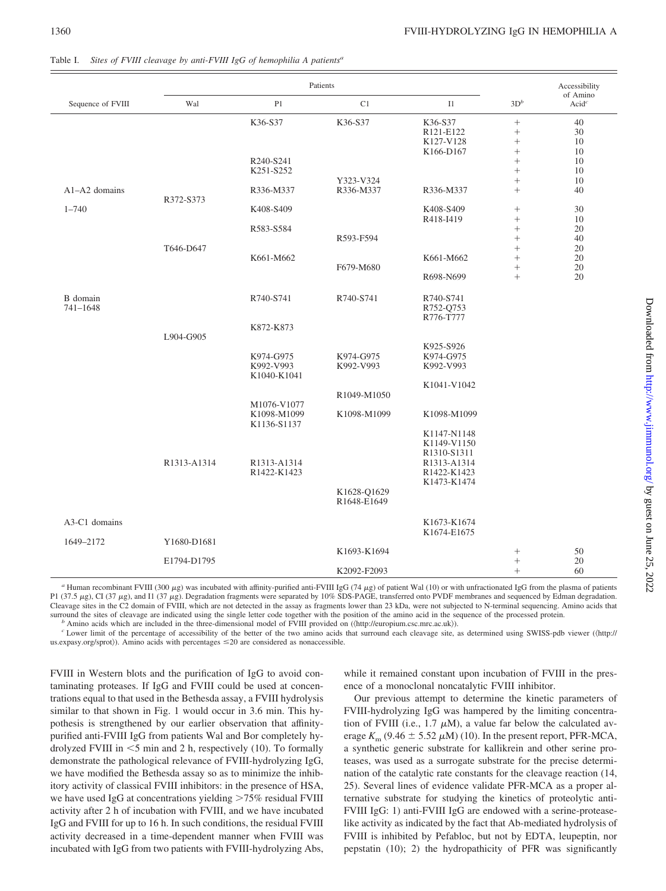|                      | Patients    |                                           |                            |                                                          |                                              | Accessibility                 |
|----------------------|-------------|-------------------------------------------|----------------------------|----------------------------------------------------------|----------------------------------------------|-------------------------------|
| Sequence of FVIII    | Wal         | P1                                        | C1                         | I1                                                       | $3D^b$                                       | of Amino<br>Acid <sup>c</sup> |
|                      |             | K36-S37                                   | K36-S37                    | K36-S37<br>R121-E122<br>K127-V128<br>K166-D167           | $\! + \!\!\!\!$<br>$\! + \!\!\!\!$<br>$^{+}$ | 40<br>30<br>10<br>10          |
|                      |             | R240-S241<br>K251-S252                    |                            |                                                          | $^{+}$<br>$^{+}$                             | 10<br>10                      |
| $A1-A2$ domains      | R372-S373   | R336-M337                                 | Y323-V324<br>R336-M337     | R336-M337                                                | $^{+}$                                       | 10<br>40                      |
| $1 - 740$            |             | K408-S409                                 |                            | K408-S409<br>R418-I419                                   | $^{+}$                                       | 30<br>10                      |
|                      |             | R583-S584                                 | R593-F594                  |                                                          | $\! + \!\!\!\!$<br>$^{+}$                    | 20<br>40                      |
|                      | T646-D647   | K661-M662                                 | F679-M680                  | K661-M662<br>R698-N699                                   | $^{+}$<br>$^{+}$<br>$^{+}$<br>$^{+}$         | 20<br>20<br>20<br>20          |
| B domain<br>741-1648 |             | R740-S741                                 | R740-S741                  | R740-S741<br>R752-Q753<br>R776-T777                      |                                              |                               |
|                      | L904-G905   | K872-K873                                 |                            |                                                          |                                              |                               |
|                      |             | K974-G975<br>K992-V993<br>K1040-K1041     | K974-G975<br>K992-V993     | K925-S926<br>K974-G975<br>K992-V993                      |                                              |                               |
|                      |             |                                           | R1049-M1050                | K1041-V1042                                              |                                              |                               |
|                      |             | M1076-V1077<br>K1098-M1099<br>K1136-S1137 | K1098-M1099                | K1098-M1099                                              |                                              |                               |
|                      | R1313-A1314 | R1313-A1314                               |                            | K1147-N1148<br>K1149-V1150<br>R1310-S1311<br>R1313-A1314 |                                              |                               |
|                      |             | R1422-K1423                               |                            | R1422-K1423<br>K1473-K1474                               |                                              |                               |
|                      |             |                                           | K1628-Q1629<br>R1648-E1649 |                                                          |                                              |                               |
| A3-C1 domains        |             |                                           |                            | K1673-K1674<br>K1674-E1675                               |                                              |                               |
| 1649-2172            | Y1680-D1681 |                                           | K1693-K1694                |                                                          | $\! + \!\!\!\!$                              | 50                            |
|                      | E1794-D1795 |                                           | K2092-F2093                |                                                          | $^{+}$<br>$^{+}$                             | 20<br>60                      |

Table I. *Sites of FVIII cleavage by anti-FVIII IgG of hemophilia A patients<sup>a</sup>*

<sup>*a*</sup> Human recombinant FVIII (300  $\mu$ g) was incubated with affinity-purified anti-FVIII IgG (74  $\mu$ g) of patient Wal (10) or with unfractionated IgG from the plasma of patients P1 (37.5  $\mu$ g), CI (37  $\mu$ g), and I1 (37  $\mu$ g). Degradation fragments were separated by 10% SDS-PAGE, transferred onto PVDF membranes and sequenced by Edman degradation. Cleavage sites in the C2 domain of FVIII, which are not detected in the assay as fragments lower than 23 kDa, were not subjected to N-terminal sequencing. Amino acids that surround the sites of cleavage are indicated using

<sup>b</sup> Amino acids which are included in the three-dimensional model of FVIII provided on ((http://europium.csc.mrc.ac.uk)).<br><sup>c</sup> Lower limit of the percentage of accessibility of the better of the two amino acids that surroun

us.expasy.org/sprot $\rangle$ ). Amino acids with percentages  $\leq 20$  are considered as nonaccessible.

FVIII in Western blots and the purification of IgG to avoid contaminating proteases. If IgG and FVIII could be used at concentrations equal to that used in the Bethesda assay, a FVIII hydrolysis similar to that shown in Fig. 1 would occur in 3.6 min. This hypothesis is strengthened by our earlier observation that affinitypurified anti-FVIII IgG from patients Wal and Bor completely hydrolyzed FVIII in  $<$  5 min and 2 h, respectively (10). To formally demonstrate the pathological relevance of FVIII-hydrolyzing IgG, we have modified the Bethesda assay so as to minimize the inhibitory activity of classical FVIII inhibitors: in the presence of HSA, we have used IgG at concentrations yielding  $>75\%$  residual FVIII activity after 2 h of incubation with FVIII, and we have incubated IgG and FVIII for up to 16 h. In such conditions, the residual FVIII activity decreased in a time-dependent manner when FVIII was incubated with IgG from two patients with FVIII-hydrolyzing Abs,

while it remained constant upon incubation of FVIII in the presence of a monoclonal noncatalytic FVIII inhibitor.

Our previous attempt to determine the kinetic parameters of FVIII-hydrolyzing IgG was hampered by the limiting concentration of FVIII (i.e., 1.7  $\mu$ M), a value far below the calculated average  $K<sub>m</sub>$  (9.46  $\pm$  5.52  $\mu$ M) (10). In the present report, PFR-MCA, a synthetic generic substrate for kallikrein and other serine proteases, was used as a surrogate substrate for the precise determination of the catalytic rate constants for the cleavage reaction (14, 25). Several lines of evidence validate PFR-MCA as a proper alternative substrate for studying the kinetics of proteolytic anti-FVIII IgG: 1) anti-FVIII IgG are endowed with a serine-proteaselike activity as indicated by the fact that Ab-mediated hydrolysis of FVIII is inhibited by Pefabloc, but not by EDTA, leupeptin, nor pepstatin (10); 2) the hydropathicity of PFR was significantly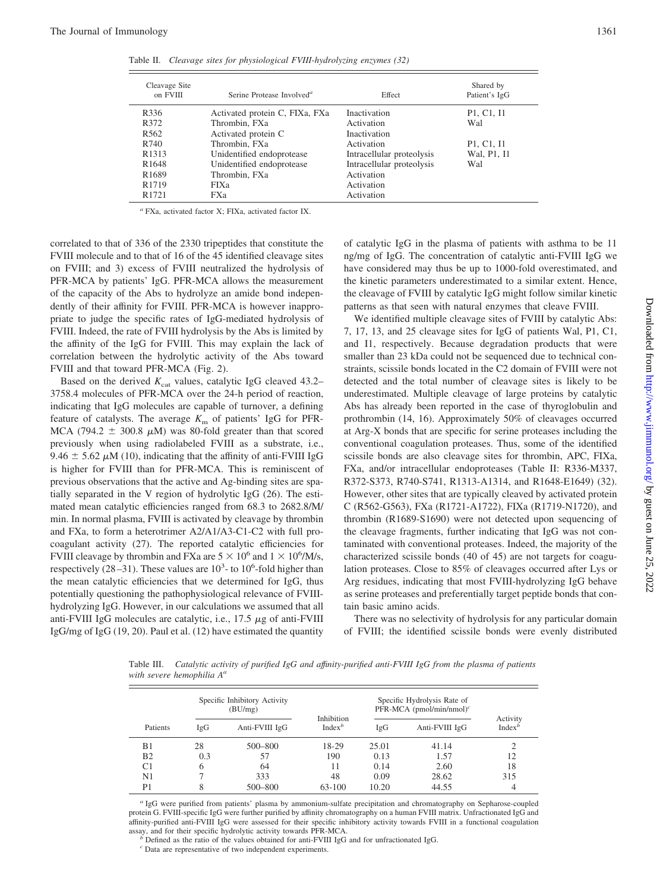Table II. *Cleavage sites for physiological FVIII-hydrolyzing enzymes (32)*

| Cleavage Site<br>on FVIII | Serine Protease Involved <sup>a</sup> | Effect                    | Shared by<br>Patient's IgG                       |
|---------------------------|---------------------------------------|---------------------------|--------------------------------------------------|
| R336                      | Activated protein C, FIXa, FXa        | <b>Inactivation</b>       | P <sub>1</sub> , C <sub>1</sub> , I <sub>1</sub> |
| R372                      | Thrombin, FXa                         | Activation                | Wal                                              |
| R <sub>562</sub>          | Activated protein C                   | <b>Inactivation</b>       |                                                  |
| R740                      | Thrombin, FXa                         | Activation                | P <sub>1</sub> , C <sub>1</sub> , I <sub>1</sub> |
| R <sub>1313</sub>         | Unidentified endoprotease             | Intracellular proteolysis | Wal, P1, I1                                      |
| R <sub>1648</sub>         | Unidentified endoprotease             | Intracellular proteolysis | Wal                                              |
| R <sub>1689</sub>         | Thrombin, FXa                         | Activation                |                                                  |
| R <sub>1719</sub>         | <b>FIXa</b>                           | Activation                |                                                  |
| R <sub>1721</sub>         | <b>FXa</b>                            | Activation                |                                                  |

*<sup>a</sup>* FXa, activated factor X; FIXa, activated factor IX.

correlated to that of 336 of the 2330 tripeptides that constitute the FVIII molecule and to that of 16 of the 45 identified cleavage sites on FVIII; and 3) excess of FVIII neutralized the hydrolysis of PFR-MCA by patients' IgG. PFR-MCA allows the measurement of the capacity of the Abs to hydrolyze an amide bond independently of their affinity for FVIII. PFR-MCA is however inappropriate to judge the specific rates of IgG-mediated hydrolysis of FVIII. Indeed, the rate of FVIII hydrolysis by the Abs is limited by the affinity of the IgG for FVIII. This may explain the lack of correlation between the hydrolytic activity of the Abs toward FVIII and that toward PFR-MCA (Fig. 2).

Based on the derived  $K_{\text{cat}}$  values, catalytic IgG cleaved 43.2– 3758.4 molecules of PFR-MCA over the 24-h period of reaction, indicating that IgG molecules are capable of turnover, a defining feature of catalysts. The average  $K<sub>m</sub>$  of patients' IgG for PFR-MCA (794.2  $\pm$  300.8  $\mu$ M) was 80-fold greater than that scored previously when using radiolabeled FVIII as a substrate, i.e., 9.46  $\pm$  5.62  $\mu$ M (10), indicating that the affinity of anti-FVIII IgG is higher for FVIII than for PFR-MCA. This is reminiscent of previous observations that the active and Ag-binding sites are spatially separated in the V region of hydrolytic IgG (26). The estimated mean catalytic efficiencies ranged from 68.3 to 2682.8/M/ min. In normal plasma, FVIII is activated by cleavage by thrombin and FXa, to form a heterotrimer A2/A1/A3-C1-C2 with full procoagulant activity (27). The reported catalytic efficiencies for FVIII cleavage by thrombin and FXa are  $5 \times 10^6$  and  $1 \times 10^6$ /M/s, respectively  $(28-31)$ . These values are  $10^3$ - to  $10^6$ -fold higher than the mean catalytic efficiencies that we determined for IgG, thus potentially questioning the pathophysiological relevance of FVIIIhydrolyzing IgG. However, in our calculations we assumed that all anti-FVIII IgG molecules are catalytic, i.e.,  $17.5 \mu$ g of anti-FVIII IgG/mg of IgG (19, 20). Paul et al. (12) have estimated the quantity of catalytic IgG in the plasma of patients with asthma to be 11 ng/mg of IgG. The concentration of catalytic anti-FVIII IgG we have considered may thus be up to 1000-fold overestimated, and the kinetic parameters underestimated to a similar extent. Hence, the cleavage of FVIII by catalytic IgG might follow similar kinetic patterns as that seen with natural enzymes that cleave FVIII.

We identified multiple cleavage sites of FVIII by catalytic Abs: 7, 17, 13, and 25 cleavage sites for IgG of patients Wal, P1, C1, and I1, respectively. Because degradation products that were smaller than 23 kDa could not be sequenced due to technical constraints, scissile bonds located in the C2 domain of FVIII were not detected and the total number of cleavage sites is likely to be underestimated. Multiple cleavage of large proteins by catalytic Abs has already been reported in the case of thyroglobulin and prothrombin (14, 16). Approximately 50% of cleavages occurred at Arg-X bonds that are specific for serine proteases including the conventional coagulation proteases. Thus, some of the identified scissile bonds are also cleavage sites for thrombin, APC, FIXa, FXa, and/or intracellular endoproteases (Table II: R336-M337, R372-S373, R740-S741, R1313-A1314, and R1648-E1649) (32). However, other sites that are typically cleaved by activated protein C (R562-G563), FXa (R1721-A1722), FIXa (R1719-N1720), and thrombin (R1689-S1690) were not detected upon sequencing of the cleavage fragments, further indicating that IgG was not contaminated with conventional proteases. Indeed, the majority of the characterized scissile bonds (40 of 45) are not targets for coagulation proteases. Close to 85% of cleavages occurred after Lys or Arg residues, indicating that most FVIII-hydrolyzing IgG behave as serine proteases and preferentially target peptide bonds that contain basic amino acids.

There was no selectivity of hydrolysis for any particular domain of FVIII; the identified scissile bonds were evenly distributed

Table III. *Catalytic activity of purified IgG and affinity-purified anti-FVIII IgG from the plasma of patients with severe hemophilia Aa*

|                |     | Specific Inhibitory Activity<br>(BU/mg) |                                | Specific Hydrolysis Rate of<br>PFR-MCA (pmol/min/nmol) <sup>c</sup> |                | Activity  |
|----------------|-----|-----------------------------------------|--------------------------------|---------------------------------------------------------------------|----------------|-----------|
| Patients       | IgG | Anti-FVIII IgG                          | <b>Inhibition</b><br>$Index^b$ | IgG                                                                 | Anti-FVIII IgG | $Index^b$ |
| B1             | 28  | 500-800                                 | 18-29                          | 25.01                                                               | 41.14          |           |
| B <sub>2</sub> | 0.3 | 57                                      | 190                            | 0.13                                                                | 1.57           | 12        |
| C <sub>1</sub> | 6   | 64                                      |                                | 0.14                                                                | 2.60           | 18        |
| N <sub>1</sub> |     | 333                                     | 48                             | 0.09                                                                | 28.62          | 315       |
| P1             |     | 500-800                                 | 63-100                         | 10.20                                                               | 44.55          | 4         |

*<sup>a</sup>* IgG were purified from patients' plasma by ammonium-sulfate precipitation and chromatography on Sepharose-coupled protein G. FVIII-specific IgG were further purified by affinity chromatography on a human FVIII matrix. Unfractionated IgG and affinity-purified anti-FVIII IgG were assessed for their specific inhibitory activity towards FVIII in a functional coagulation assay, and for their specific hydrolytic activity towards PFR-MCA.

<sup>*b*</sup> Defined as the ratio of the values obtained for anti-FVIII IgG and for unfractionated IgG.

*<sup>c</sup>* Data are representative of two independent experiments.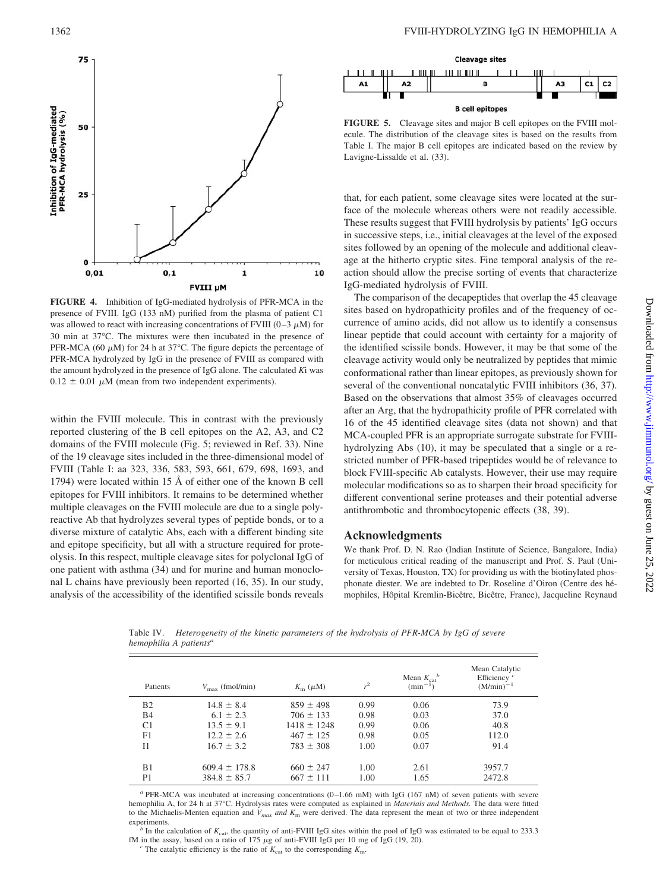

**FIGURE 4.** Inhibition of IgG-mediated hydrolysis of PFR-MCA in the presence of FVIII. IgG (133 nM) purified from the plasma of patient C1 was allowed to react with increasing concentrations of FVIII (0–3  $\mu$ M) for 30 min at 37°C. The mixtures were then incubated in the presence of PFR-MCA (60  $\mu$ M) for 24 h at 37°C. The figure depicts the percentage of PFR-MCA hydrolyzed by IgG in the presence of FVIII as compared with the amount hydrolyzed in the presence of IgG alone. The calculated *K*i was  $0.12 \pm 0.01 \mu M$  (mean from two independent experiments).

within the FVIII molecule. This in contrast with the previously reported clustering of the B cell epitopes on the A2, A3, and C2 domains of the FVIII molecule (Fig. 5; reviewed in Ref. 33). Nine of the 19 cleavage sites included in the three-dimensional model of FVIII (Table I: aa 323, 336, 583, 593, 661, 679, 698, 1693, and 1794) were located within 15 Å of either one of the known B cell epitopes for FVIII inhibitors. It remains to be determined whether multiple cleavages on the FVIII molecule are due to a single polyreactive Ab that hydrolyzes several types of peptide bonds, or to a diverse mixture of catalytic Abs, each with a different binding site and epitope specificity, but all with a structure required for proteolysis. In this respect, multiple cleavage sites for polyclonal IgG of one patient with asthma (34) and for murine and human monoclonal L chains have previously been reported (16, 35). In our study, analysis of the accessibility of the identified scissile bonds reveals

*hemophilia A patientsa*



**FIGURE 5.** Cleavage sites and major B cell epitopes on the FVIII molecule. The distribution of the cleavage sites is based on the results from Table I. The major B cell epitopes are indicated based on the review by Lavigne-Lissalde et al. (33).

that, for each patient, some cleavage sites were located at the surface of the molecule whereas others were not readily accessible. These results suggest that FVIII hydrolysis by patients' IgG occurs in successive steps, i.e., initial cleavages at the level of the exposed sites followed by an opening of the molecule and additional cleavage at the hitherto cryptic sites. Fine temporal analysis of the reaction should allow the precise sorting of events that characterize IgG-mediated hydrolysis of FVIII.

The comparison of the decapeptides that overlap the 45 cleavage sites based on hydropathicity profiles and of the frequency of occurrence of amino acids, did not allow us to identify a consensus linear peptide that could account with certainty for a majority of the identified scissile bonds. However, it may be that some of the cleavage activity would only be neutralized by peptides that mimic conformational rather than linear epitopes, as previously shown for several of the conventional noncatalytic FVIII inhibitors (36, 37). Based on the observations that almost 35% of cleavages occurred after an Arg, that the hydropathicity profile of PFR correlated with 16 of the 45 identified cleavage sites (data not shown) and that MCA-coupled PFR is an appropriate surrogate substrate for FVIIIhydrolyzing Abs (10), it may be speculated that a single or a restricted number of PFR-based tripeptides would be of relevance to block FVIII-specific Ab catalysts. However, their use may require molecular modifications so as to sharpen their broad specificity for different conventional serine proteases and their potential adverse antithrombotic and thrombocytopenic effects (38, 39).

#### **Acknowledgments**

We thank Prof. D. N. Rao (Indian Institute of Science, Bangalore, India) for meticulous critical reading of the manuscript and Prof. S. Paul (University of Texas, Houston, TX) for providing us with the biotinylated phosphonate diester. We are indebted to Dr. Roseline d'Oiron (Centre des hémophiles, Hôpital Kremlin-Bicêtre, Bicêtre, France), Jacqueline Reynaud

Patients  $V_{\text{max}}$  (fmol/min)  $K_{\text{m}}$  ( $\mu$ M)  $r<sup>2</sup>$ Mean  $K_{\text{cat}}^b$ <br>(min<sup>-1</sup>) Mean Catalytic Efficiency  $(M/min)$ B2 14.8  $\pm$  8.4 859  $\pm$  498 0.99 0.06 73.9 B4 6.1  $\pm$  2.3 706  $\pm$  133 0.98 0.03 37.0 C1  $13.5 \pm 9.1$   $1418 \pm 1248$   $0.99$   $0.06$   $40.8$ <br>F1  $12.2 \pm 2.6$   $467 \pm 125$   $0.98$   $0.05$   $112.0$  $f12.2 \pm 2.6$   $467 \pm 125$ <br> $f16.7 \pm 3.2$   $783 \pm 308$  $11 \t 16.7 \pm 3.2 \t 783 \pm 308 \t 1.00 \t 0.07 \t 91.4$ B1 609.4  $\pm$  178.8 660  $\pm$  247 1.00 2.61 3957.7 P1  $384.8 \pm 85.7$   $667 \pm 111$   $1.00$   $1.65$   $2472.8$ 

Table IV. *Heterogeneity of the kinetic parameters of the hydrolysis of PFR-MCA by IgG of severe*

*<sup>a</sup>* PFR-MCA was incubated at increasing concentrations (0–1.66 mM) with IgG (167 nM) of seven patients with severe hemophilia A, for 24 h at 37°C. Hydrolysis rates were computed as explained in *Materials and Methods.* The data were fitted to the Michaelis-Menten equation and *V<sub>max</sub> and*  $K_m$  were derived. The data represent the mean of two or three independent experiments.

 $b<sup>b</sup>$  In the calculation of  $K<sub>cat</sub>$ , the quantity of anti-FVIII IgG sites within the pool of IgG was estimated to be equal to 233.3 fM in the assay, based on a ratio of 175  $\mu$ g of anti-FVIII IgG per 10 mg of IgG (19, 20).<br>*c* The catalytic efficiency is the ratio of  $K_{\text{cat}}$  to the corresponding  $K_{\text{m}}$ .